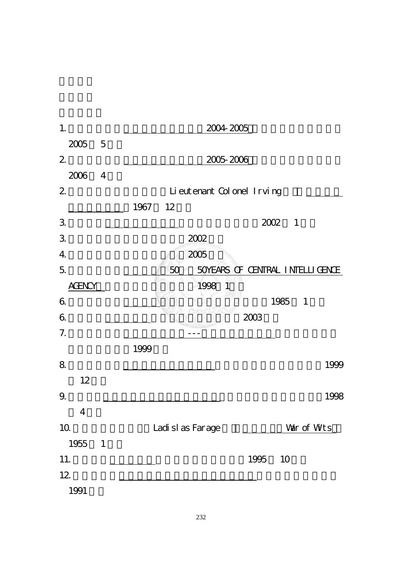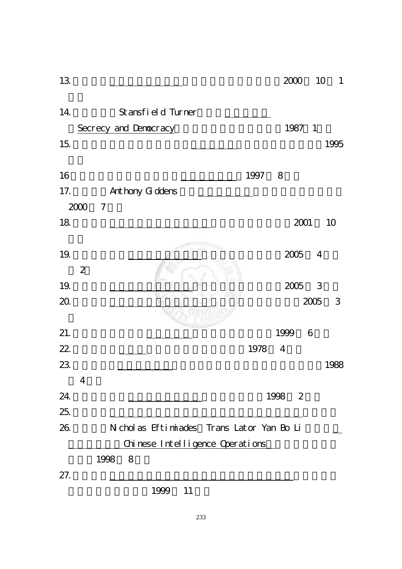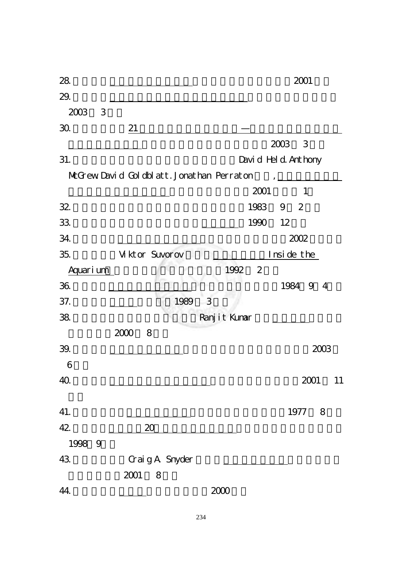| 28.       |                                           |                | 2001                          |
|-----------|-------------------------------------------|----------------|-------------------------------|
| 29.       |                                           |                |                               |
| 2003<br>3 |                                           |                |                               |
| 30.       | 21                                        |                |                               |
|           |                                           |                | 2003<br>3                     |
| 31.       |                                           |                | Davi d Hel d. Anthony         |
|           | McGrew David Goldblatt. Jonathan Perraton |                | $\mathbf{I}$ and $\mathbf{I}$ |
|           |                                           | 2001           |                               |
| 32        |                                           | 1983           | 9 <sup>2</sup>                |
| 33.       |                                           | 1990           | 12                            |
| 34.       |                                           |                | 2002                          |
| 35.       | Viktor Suvorov                            |                | Inside the                    |
| Aquarium  | 1992                                      | $\overline{2}$ |                               |
| 36.       |                                           |                | 1984<br>-9<br>$\overline{4}$  |
| 37.       | 1989<br>3                                 |                |                               |
| 38.       | Ranj i t Kumar                            |                |                               |
|           | 2000<br>8                                 |                |                               |
| 39.       |                                           |                | 2003                          |
| 6         |                                           |                |                               |
| 40.       |                                           |                | 2001<br>11                    |
|           |                                           |                |                               |
| 41.       |                                           |                | 1977<br>8                     |
| 42        | 20                                        |                |                               |
| 1998 9    |                                           |                |                               |
| 43.       | Craig A. Snyder                           |                |                               |
|           | 2001<br>8                                 |                |                               |
| 44.       | 2000                                      |                |                               |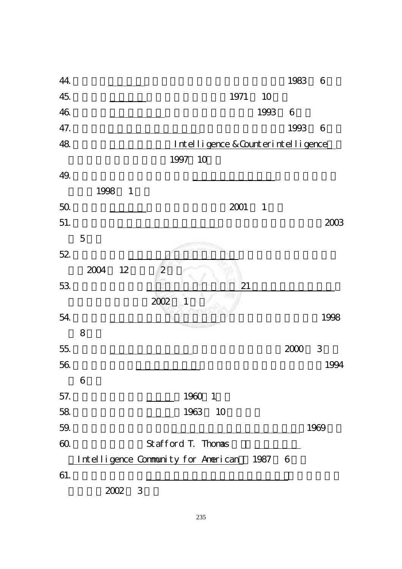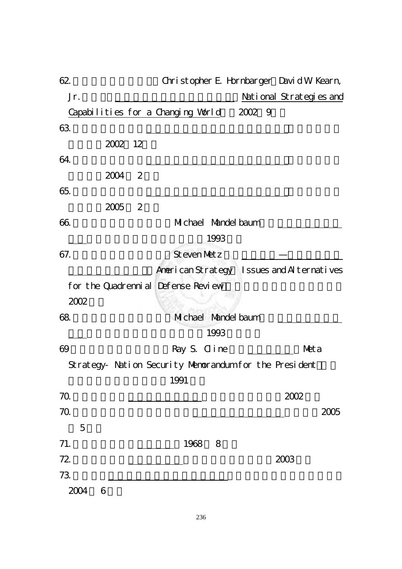| 62        |           | Christopher E. Hornbarger David W Kearn,               |      |        |      |                         |      |
|-----------|-----------|--------------------------------------------------------|------|--------|------|-------------------------|------|
| Jr.       |           |                                                        |      |        |      | National Strategies and |      |
|           |           | Capabilities for a Changing World                      |      | 2002 9 |      |                         |      |
| 63.       |           |                                                        |      |        |      |                         |      |
|           | 2002 12   |                                                        |      |        |      |                         |      |
| 64.       |           |                                                        |      |        |      |                         |      |
|           | 2<br>2004 |                                                        |      |        |      |                         |      |
| 65.       |           |                                                        |      |        |      |                         |      |
|           | 2<br>2005 |                                                        |      |        |      |                         |      |
| 66.       |           | Michael Mandel baum                                    |      |        |      |                         |      |
|           |           |                                                        | 1993 |        |      |                         |      |
| 67.       |           | Steven Metz                                            |      |        |      |                         |      |
|           |           | American Strategy Issues and AI ternatives             |      |        |      |                         |      |
|           |           | for the Quadrenni al Defense Review                    |      |        |      |                         |      |
| 2002      |           |                                                        |      |        |      |                         |      |
| 68.       |           | Michael Mandel baum                                    |      |        |      |                         |      |
|           |           |                                                        | 1993 |        |      |                         |      |
| 69        |           | Ray S. Cline                                           |      |        |      | Neta                    |      |
|           |           | Strategy- Nation Security Nemorandum for the President |      |        |      |                         |      |
|           |           | 1991                                                   |      |        |      |                         |      |
| 70.       |           |                                                        |      |        | 2002 |                         |      |
| 70.       |           |                                                        |      |        |      |                         | 2005 |
| 5         |           |                                                        |      |        |      |                         |      |
| 71.       |           | 1968                                                   | 8    |        |      |                         |      |
| 72        |           |                                                        |      |        | 2003 |                         |      |
| 73.       |           |                                                        |      |        |      |                         |      |
| 2004<br>6 |           |                                                        |      |        |      |                         |      |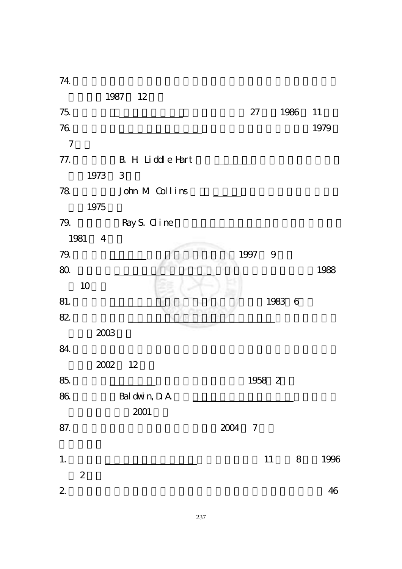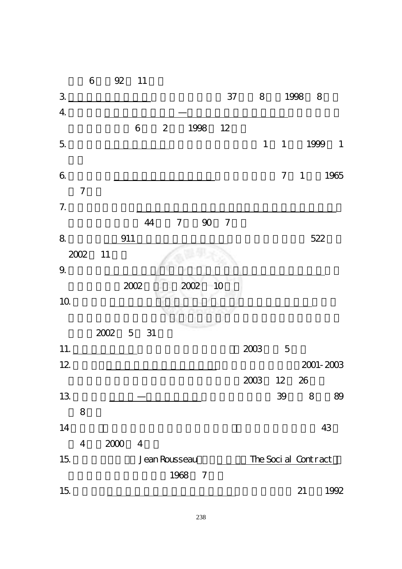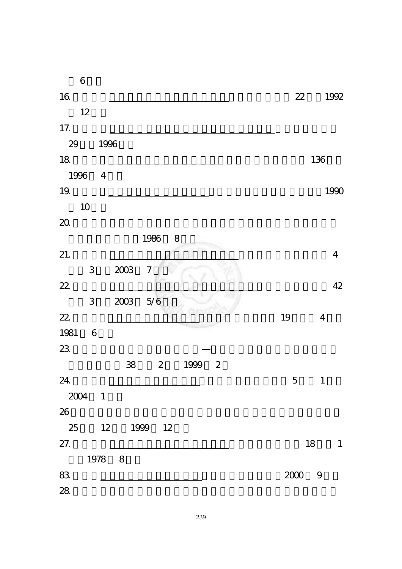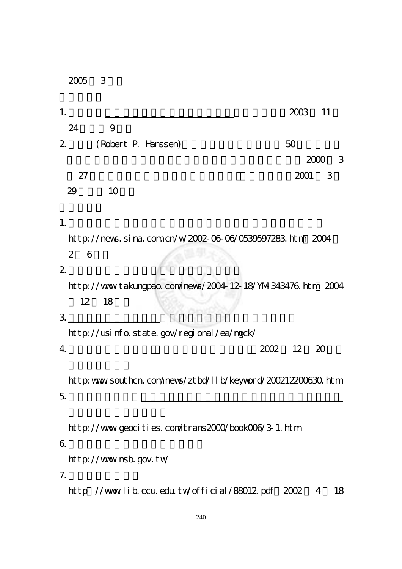|                | 3<br>2005                                                    |                 |                            |    |
|----------------|--------------------------------------------------------------|-----------------|----------------------------|----|
| 1.             |                                                              | 2003            | 11                         |    |
|                | 24<br>9                                                      |                 |                            |    |
|                | 2 <sup>7</sup><br>(Robert P. Hanssen)                        | 50              |                            |    |
|                |                                                              |                 | 2000                       | 3  |
|                | 27                                                           | 2001            | $\overline{\phantom{a}}$ 3 |    |
|                | 29<br>10                                                     |                 |                            |    |
|                |                                                              |                 |                            |    |
| 1.             |                                                              |                 |                            |    |
|                | http://nevs.sina.com.cn/w/2002-06-06/0539597283.htm 2004     |                 |                            |    |
|                | $2 \overline{ }$<br>6                                        |                 |                            |    |
| $\overline{2}$ | http://www.takungpao.com/nevs/2004-12-18/YM 343476.htm 2004  |                 |                            |    |
|                | 12 18                                                        |                 |                            |    |
| 3.             |                                                              |                 |                            |    |
|                | http://usinfo.state.gov/regional/ea/mgck/                    |                 |                            |    |
|                | $4 \overline{ }$<br>2002                                     | 12 <sup>2</sup> | - 20                       |    |
|                |                                                              |                 |                            |    |
|                | http: www southcn.com/nevs/ztbd/llb/keyvord/200212200630.htm |                 |                            |    |
| 5.             |                                                              |                 |                            |    |
|                |                                                              |                 |                            |    |
|                | http://www.geocities.com/trans2000/book006/3-1.htm           |                 |                            |    |
| 6.             |                                                              |                 |                            |    |
|                | http://www.nsb.gov.tw                                        |                 |                            |    |
| 7.             |                                                              |                 |                            |    |
|                | http //wwwlib.ccu.edu.tw/official/88012.pdf 2002             |                 | 4                          | 18 |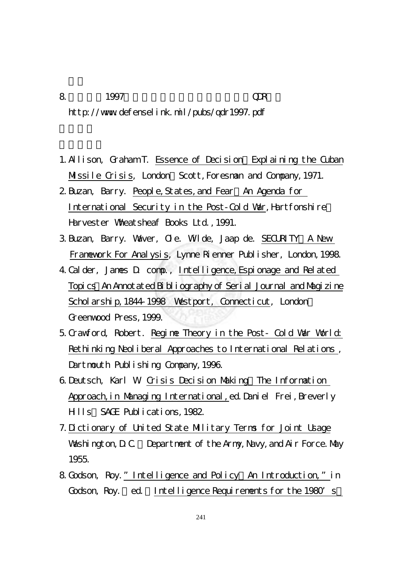- 8.美國防部1997年「四年一次國防檢討報告」(QDR): http://www.defenselink.mil/pubs/qdr1997.pdf
- 1. Allison, Graham T. Essence of Decision Explaining the Cuban Missile Crisis, London: Scott, Foresman and Company, 1971.
- 2. Buzan, Barry. People, States, and Fear. An Agenda for International Security in the Post-Cold War, Hartfonshire Harvester Wheatsheaf Books Ltd.,1991.
- 3.Buzan, Barry. Waver, Ole. Wilde, Jaap de. SECURITY:A New Framework For Analysis, Lynne Rienner Publisher, London,1998.
- 4.Calder, James D. comp., Intelligence,Espionage and Related Topics:An Annotated Bibliography of Serial Journal and Magizine Scholarship, 1844-1998 Westport, Connecticut, London: Greenwood Press,1999.
- 5.Crawford, Robert. Regime Theory in the Post- Cold War World: Rethinking Neoliberal Approaches to International Relations, Dartmouth Publishing Company, 1996.
- 6.Deutsch, Karl W. Crisis Decision Making:The Information Approach, in Managing International, ed. Daniel Frei, Breverly Hills:SAGE Publications,1982.
- 7.Dictionary of United State Military Terms for Joint Usage Washington, D.C. Department of the Army, Navy, and Air Force. May 1955.
- 8. Godson, Roy." Intelligence and Policy An Introduction," in Godson, Roy. ed. Intelligence Requirements for the 1980's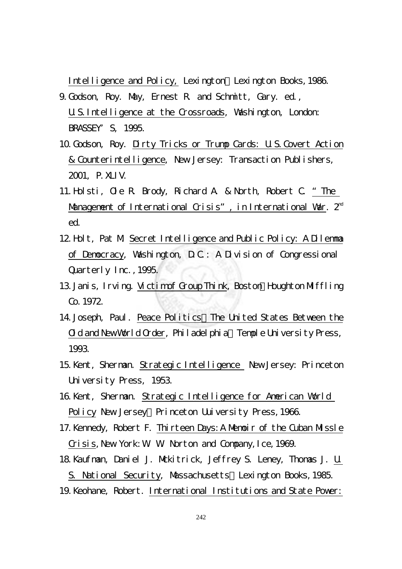Intelligence and Policy, Lexington Lexington Books, 1986. 9.Godson, Roy. May, Ernest R. and Schmitt, Gary. ed., U.S.Intelligence at the Crossroads, Washington, London:

BRASSEY' S, 1995.

- 10.Godson, Roy. Dirty Tricks or Trump Cards: U.S.Covert Action & Counterintelligence, New Jersey: Transaction Publishers, 2001, P.XLIV.
- 11.Holsti, Ole R. Brody, Richard A. & North, Robert C. "The Management of International Crisis", in International Var.  $2<sup>nd</sup>$ ed.
- 12.Holt, Pat M. Secret Intelligence and Public Policy: A Dilemma of Democracy, Washington, D.C.: A Division of Congressional Quarterly Inc., 1995.
- 13. Janis, Irving. Victim of Group Think, Boston: Houghton Miffling Co.1972.
- 14. Joseph, Paul. Peace Politics: The United States Between the Old and New World Order, Philadelphia Temple University Press, 1993.
- 15.Kent, Sherman. Strategic Intelligence New Jersey: Princeton University Press, 1953.
- 16.Kent, Sherman. Strategic Intelligence for American World Policy New Jersey: Princeton Uuiversity Press, 1966.
- 17. Kennedy, Robert F. Thirteen Days: A Memoir of the Cuban Missle Crisis, New York: W. W. Norton and Company, I ce, 1969.
- 18. Kaufman, Daniel J. Mckitrick, Jeffrey S. Leney, Thomas J. U. S. National Security, Massachusetts:Lexington Books,1985. 19.Keohane, Robert. International Institutions and State Power: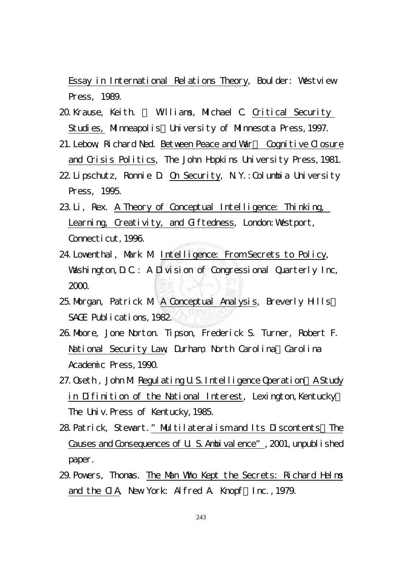Essay in International Relations Theory, Boulder: Westview Press, 1989.

- 20. Krause, Keith. Williams, Michael C. Critical Security Studies, Minneapolis: University of Minnesota Press, 1997.
- 21. Lebow, Richard Ned. Between Peace and War Cognitive Closure and Crisis Politics, The John Hopkins University Press,1981.
- 22.Lipschutz, Ronnie D. On Security, N.Y.:Columbia University Press, 1995.
- 23.Li, Rex. A Theory of Conceptual Intelligence: Thinking, Learning, Creativity, and Giftedness, London: Westport, Connecticut, 1996.
- 24.Lowenthal, Mark M. Intelligence: From Secrets to Policy, Washington, D.C.: A Division of Congressional Quarterly Inc, 2000.
- 25. Morgan, Patrick M A Conceptual Analysis, Breverly Hills: SAGE Publications, 1982.
- 26.Moore, Jone Norton. Tipson, Frederick S. Turner, Robert F. National Security Law, Durham, North Carolina Carolina Academic Press,1990.
- 27. Oseth, John M. Regulating U.S. Intelligence Operation A Study in Difinition of the National Interest, Lexington, Kentucky: The Univ. Press of Kentucky, 1985.
- 28. Patrick, Stewart." Multilateralism and Its Discontents The Causes and Consequences of U. S. Ambivalence", 2001, unpublished paper.
- 29.Powers, Thomas. The Man Who Kept the Secrets: Richard Helms and the CIA, New York: Alfred A. Knopf,Inc.,1979.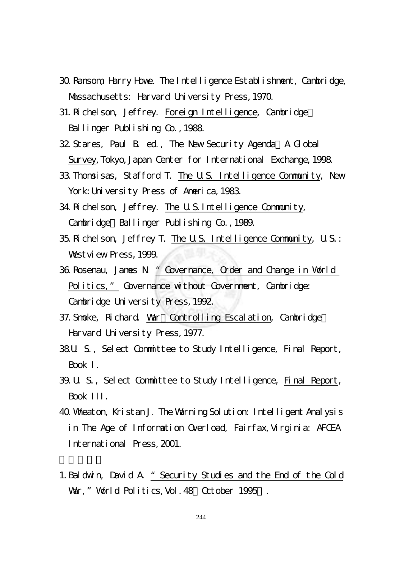- 30.Ransom, Harry Howe. The Intelligence Establishment, Cambridge, Massachusetts: Harvard University Press, 1970.
- 31.Richelson, Jeffrey. Foreign Intelligence, Cambridge: Ballinger Publishing Co., 1988.
- 32 Stares, Paul B. ed., The New Security Agenda A Global Survey, Tokyo, Japan Center for International Exchange, 1998.
- 33.Thomsisas, Stafford T. The U.S. Intelligence Community, New York: University Press of America, 1983.
- 34.Richelson, Jeffrey. The U.S.Intelligence Community, Cambridge: Ballinger Publishing Co., 1989.
- 35.Richelson, Jeffrey T. The U.S. Intelligence Community, U.S.: Westview Press, 1999.
- 36.Rosenau, James N. "Governance, Order and Change in World Politics," Governance without Government, Cambridge: Cambridge University Press, 1992.
- 37. Smoke, Richard. War: Controlling Escalation, Cambridge: Harvard University Press, 1977.
- 38.U. S., Select Committee to Study Intelligence, Final Report, Book I.
- 39.U. S., Select Committee to Study Intelligence, Final Report, Book III.
- 40.Wheaton, Kristan J. The Warning Solution: Intelligent Analysis in The Age of Information Overload, Fairfax,Virginia: AFCEA International Press,2001.
- 1.Baldwin, David A. "Security Studies and the End of the Cold War," World Politics, Vol. 48 October 1995.